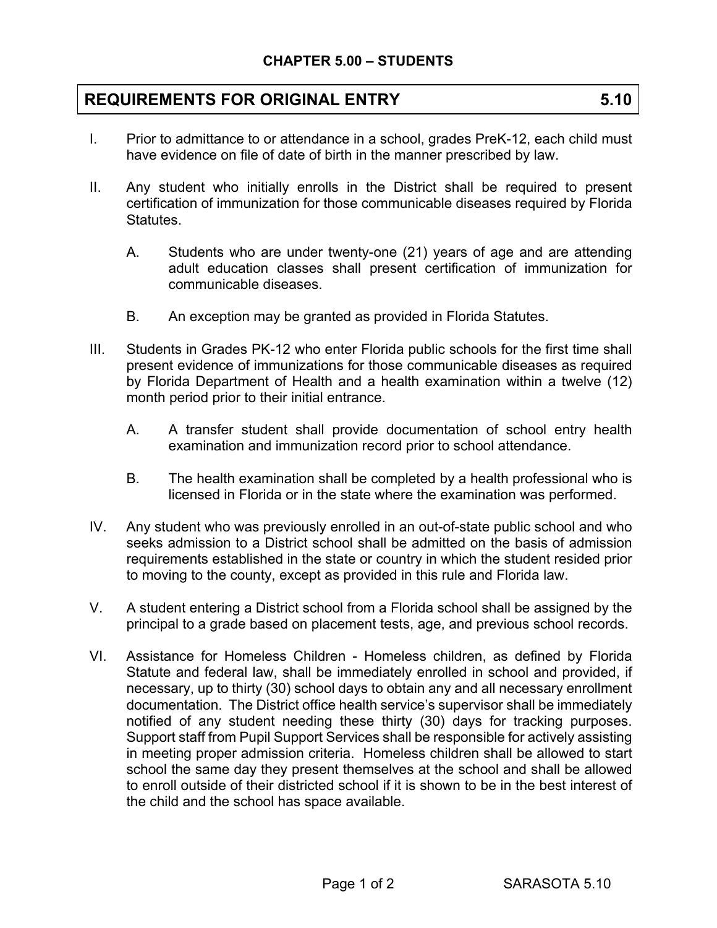## **REQUIREMENTS FOR ORIGINAL ENTRY 5.10**

- I. Prior to admittance to or attendance in a school, grades PreK-12, each child must have evidence on file of date of birth in the manner prescribed by law.
- II. Any student who initially enrolls in the District shall be required to present certification of immunization for those communicable diseases required by Florida Statutes.
	- A. Students who are under twenty-one (21) years of age and are attending adult education classes shall present certification of immunization for communicable diseases.
	- B. An exception may be granted as provided in Florida Statutes.
- III. Students in Grades PK-12 who enter Florida public schools for the first time shall present evidence of immunizations for those communicable diseases as required by Florida Department of Health and a health examination within a twelve (12) month period prior to their initial entrance.
	- A. A transfer student shall provide documentation of school entry health examination and immunization record prior to school attendance.
	- B. The health examination shall be completed by a health professional who is licensed in Florida or in the state where the examination was performed.
- IV. Any student who was previously enrolled in an out-of-state public school and who seeks admission to a District school shall be admitted on the basis of admission requirements established in the state or country in which the student resided prior to moving to the county, except as provided in this rule and Florida law.
- V. A student entering a District school from a Florida school shall be assigned by the principal to a grade based on placement tests, age, and previous school records.
- VI. Assistance for Homeless Children Homeless children, as defined by Florida Statute and federal law, shall be immediately enrolled in school and provided, if necessary, up to thirty (30) school days to obtain any and all necessary enrollment documentation. The District office health service's supervisor shall be immediately notified of any student needing these thirty (30) days for tracking purposes. Support staff from Pupil Support Services shall be responsible for actively assisting in meeting proper admission criteria. Homeless children shall be allowed to start school the same day they present themselves at the school and shall be allowed to enroll outside of their districted school if it is shown to be in the best interest of the child and the school has space available.